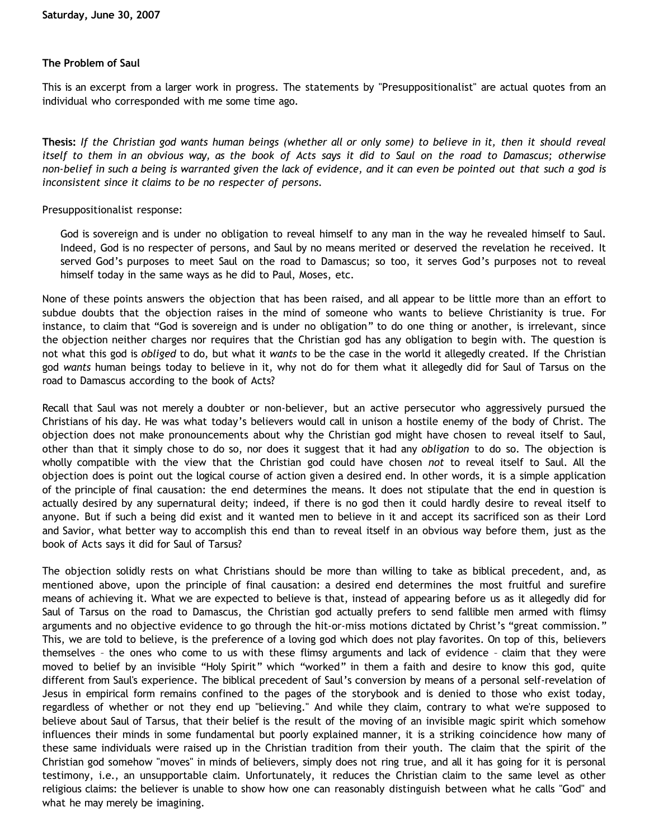### **The Problem of Saul**

This is an excerpt from a larger work in progress. The statements by "Presuppositionalist" are actual quotes from an individual who corresponded with me some time ago.

**Thesis:** *If the Christian god wants human beings (whether all or only some) to believe in it, then it should reveal itself to them in an obvious way, as the book of Acts says it did to Saul on the road to Damascus; otherwise non-belief in such a being is warranted given the lack of evidence, and it can even be pointed out that such a god is inconsistent since it claims to be no respecter of persons.*

#### Presuppositionalist response:

God is sovereign and is under no obligation to reveal himself to any man in the way he revealed himself to Saul. Indeed, God is no respecter of persons, and Saul by no means merited or deserved the revelation he received. It served God's purposes to meet Saul on the road to Damascus; so too, it serves God's purposes not to reveal himself today in the same ways as he did to Paul, Moses, etc.

None of these points answers the objection that has been raised, and all appear to be little more than an effort to subdue doubts that the objection raises in the mind of someone who wants to believe Christianity is true. For instance, to claim that "God is sovereign and is under no obligation" to do one thing or another, is irrelevant, since the objection neither charges nor requires that the Christian god has any obligation to begin with. The question is not what this god is *obliged* to do, but what it *wants* to be the case in the world it allegedly created. If the Christian god *wants* human beings today to believe in it, why not do for them what it allegedly did for Saul of Tarsus on the road to Damascus according to the book of Acts?

Recall that Saul was not merely a doubter or non-believer, but an active persecutor who aggressively pursued the Christians of his day. He was what today's believers would call in unison a hostile enemy of the body of Christ. The objection does not make pronouncements about why the Christian god might have chosen to reveal itself to Saul, other than that it simply chose to do so, nor does it suggest that it had any *obligation* to do so. The objection is wholly compatible with the view that the Christian god could have chosen *not* to reveal itself to Saul. All the objection does is point out the logical course of action given a desired end. In other words, it is a simple application of the principle of final causation: the end determines the means. It does not stipulate that the end in question is actually desired by any supernatural deity; indeed, if there is no god then it could hardly desire to reveal itself to anyone. But if such a being did exist and it wanted men to believe in it and accept its sacrificed son as their Lord and Savior, what better way to accomplish this end than to reveal itself in an obvious way before them, just as the book of Acts says it did for Saul of Tarsus?

The objection solidly rests on what Christians should be more than willing to take as biblical precedent, and, as mentioned above, upon the principle of final causation: a desired end determines the most fruitful and surefire means of achieving it. What we are expected to believe is that, instead of appearing before us as it allegedly did for Saul of Tarsus on the road to Damascus, the Christian god actually prefers to send fallible men armed with flimsy arguments and no objective evidence to go through the hit-or-miss motions dictated by Christ's "great commission." This, we are told to believe, is the preference of a loving god which does not play favorites. On top of this, believers themselves – the ones who come to us with these flimsy arguments and lack of evidence – claim that they were moved to belief by an invisible "Holy Spirit" which "worked" in them a faith and desire to know this god, quite different from Saul's experience. The biblical precedent of Saul's conversion by means of a personal self-revelation of Jesus in empirical form remains confined to the pages of the storybook and is denied to those who exist today, regardless of whether or not they end up "believing." And while they claim, contrary to what we're supposed to believe about Saul of Tarsus, that their belief is the result of the moving of an invisible magic spirit which somehow influences their minds in some fundamental but poorly explained manner, it is a striking coincidence how many of these same individuals were raised up in the Christian tradition from their youth. The claim that the spirit of the Christian god somehow "moves" in minds of believers, simply does not ring true, and all it has going for it is personal testimony, i.e., an unsupportable claim. Unfortunately, it reduces the Christian claim to the same level as other religious claims: the believer is unable to show how one can reasonably distinguish between what he calls "God" and what he may merely be imagining.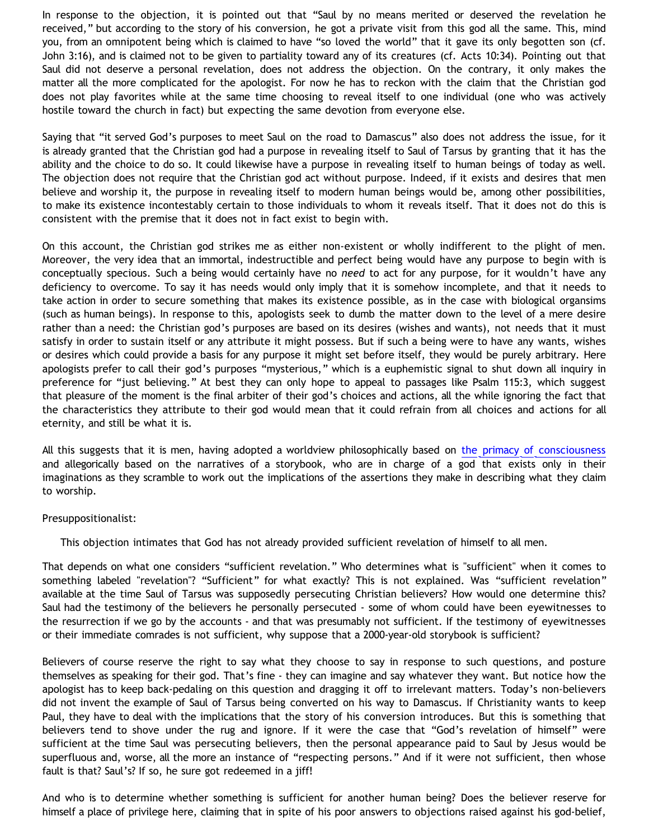In response to the objection, it is pointed out that "Saul by no means merited or deserved the revelation he received," but according to the story of his conversion, he got a private visit from this god all the same. This, mind you, from an omnipotent being which is claimed to have "so loved the world" that it gave its only begotten son (cf. John 3:16), and is claimed not to be given to partiality toward any of its creatures (cf. Acts 10:34). Pointing out that Saul did not deserve a personal revelation, does not address the objection. On the contrary, it only makes the matter all the more complicated for the apologist. For now he has to reckon with the claim that the Christian god does not play favorites while at the same time choosing to reveal itself to one individual (one who was actively hostile toward the church in fact) but expecting the same devotion from everyone else.

Saying that "it served God's purposes to meet Saul on the road to Damascus" also does not address the issue, for it is already granted that the Christian god had a purpose in revealing itself to Saul of Tarsus by granting that it has the ability and the choice to do so. It could likewise have a purpose in revealing itself to human beings of today as well. The objection does not require that the Christian god act without purpose. Indeed, if it exists and desires that men believe and worship it, the purpose in revealing itself to modern human beings would be, among other possibilities, to make its existence incontestably certain to those individuals to whom it reveals itself. That it does not do this is consistent with the premise that it does not in fact exist to begin with.

On this account, the Christian god strikes me as either non-existent or wholly indifferent to the plight of men. Moreover, the very idea that an immortal, indestructible and perfect being would have any purpose to begin with is conceptually specious. Such a being would certainly have no *need* to act for any purpose, for it wouldn't have any deficiency to overcome. To say it has needs would only imply that it is somehow incomplete, and that it needs to take action in order to secure something that makes its existence possible, as in the case with biological organsims (such as human beings). In response to this, apologists seek to dumb the matter down to the level of a mere desire rather than a need: the Christian god's purposes are based on its desires (wishes and wants), not needs that it must satisfy in order to sustain itself or any attribute it might possess. But if such a being were to have any wants, wishes or desires which could provide a basis for any purpose it might set before itself, they would be purely arbitrary. Here apologists prefer to call their god's purposes "mysterious," which is a euphemistic signal to shut down all inquiry in preference for "just believing." At best they can only hope to appeal to passages like Psalm 115:3, which suggest that pleasure of the moment is the final arbiter of their god's choices and actions, all the while ignoring the fact that the characteristics they attribute to their god would mean that it could refrain from all choices and actions for all eternity, and still be what it is.

All this suggests that it is men, having adopted a worldview philosophically based on [the primacy of consciousness](http://bahnsenburner.blogspot.com/2006/12/theism-and-subjective-metaphysics.html) and allegorically based on the narratives of a storybook, who are in charge of a god that exists only in their imaginations as they scramble to work out the implications of the assertions they make in describing what they claim to worship.

#### Presuppositionalist:

This objection intimates that God has not already provided sufficient revelation of himself to all men.

That depends on what one considers "sufficient revelation." Who determines what is "sufficient" when it comes to something labeled "revelation"? "Sufficient" for what exactly? This is not explained. Was "sufficient revelation" available at the time Saul of Tarsus was supposedly persecuting Christian believers? How would one determine this? Saul had the testimony of the believers he personally persecuted - some of whom could have been eyewitnesses to the resurrection if we go by the accounts - and that was presumably not sufficient. If the testimony of eyewitnesses or their immediate comrades is not sufficient, why suppose that a 2000-year-old storybook is sufficient?

Believers of course reserve the right to say what they choose to say in response to such questions, and posture themselves as speaking for their god. That's fine - they can imagine and say whatever they want. But notice how the apologist has to keep back-pedaling on this question and dragging it off to irrelevant matters. Today's non-believers did not invent the example of Saul of Tarsus being converted on his way to Damascus. If Christianity wants to keep Paul, they have to deal with the implications that the story of his conversion introduces. But this is something that believers tend to shove under the rug and ignore. If it were the case that "God's revelation of himself" were sufficient at the time Saul was persecuting believers, then the personal appearance paid to Saul by Jesus would be superfluous and, worse, all the more an instance of "respecting persons." And if it were not sufficient, then whose fault is that? Saul's? If so, he sure got redeemed in a jiff!

And who is to determine whether something is sufficient for another human being? Does the believer reserve for himself a place of privilege here, claiming that in spite of his poor answers to objections raised against his god-belief,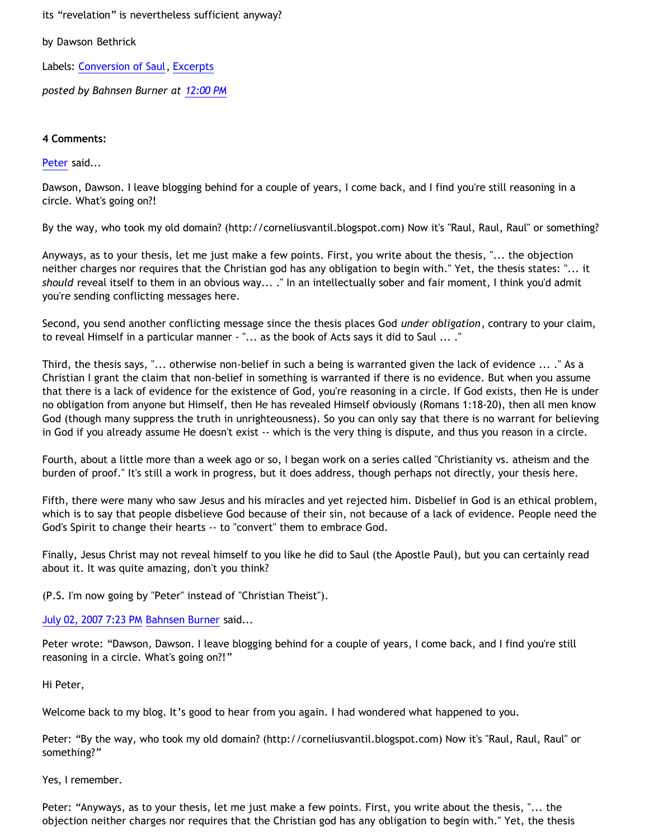its "revelation" is nevertheless sufficient anyway?

by Dawson Bethrick

Labels: [Conversion of Saul,](http://bahnsenburner.blogspot.com/search/label/Conversion%20of%20Saul) [Excerpts](http://bahnsenburner.blogspot.com/search/label/Excerpts)

*posted by Bahnsen Burner at [12:00 PM](http://bahnsenburner.blogspot.com/2007/06/problem-of-saul.html)*

### **4 Comments:**

## [Peter](http://www.blogger.com/profile/03410277894552158218) said...

Dawson, Dawson. I leave blogging behind for a couple of years, I come back, and I find you're still reasoning in a circle. What's going on?!

By the way, who took my old domain? (http://corneliusvantil.blogspot.com) Now it's "Raul, Raul, Raul" or something?

Anyways, as to your thesis, let me just make a few points. First, you write about the thesis, "... the objection neither charges nor requires that the Christian god has any obligation to begin with." Yet, the thesis states: "... it *should* reveal itself to them in an obvious way... ." In an intellectually sober and fair moment, I think you'd admit you're sending conflicting messages here.

Second, you send another conflicting message since the thesis places God *under obligation*, contrary to your claim, to reveal Himself in a particular manner - "... as the book of Acts says it did to Saul ... ."

Third, the thesis says, "... otherwise non-belief in such a being is warranted given the lack of evidence ... ." As a Christian I grant the claim that non-belief in something is warranted if there is no evidence. But when you assume that there is a lack of evidence for the existence of God, you're reasoning in a circle. If God exists, then He is under no obligation from anyone but Himself, then He has revealed Himself obviously (Romans 1:18-20), then all men know God (though many suppress the truth in unrighteousness). So you can only say that there is no warrant for believing in God if you already assume He doesn't exist -- which is the very thing is dispute, and thus you reason in a circle.

Fourth, about a little more than a week ago or so, I began work on a series called "Christianity vs. atheism and the burden of proof." It's still a work in progress, but it does address, though perhaps not directly, your thesis here.

Fifth, there were many who saw Jesus and his miracles and yet rejected him. Disbelief in God is an ethical problem, which is to say that people disbelieve God because of their sin, not because of a lack of evidence. People need the God's Spirit to change their hearts -- to "convert" them to embrace God.

Finally, Jesus Christ may not reveal himself to you like he did to Saul (the Apostle Paul), but you can certainly read about it. It was quite amazing, don't you think?

(P.S. I'm now going by "Peter" instead of "Christian Theist").

[July 02, 2007 7:23 PM](http://bahnsenburner.blogspot.com/2007/06/9007754347905412869) [Bahnsen Burner](http://www.blogger.com/profile/11030029491768748360) said...

Peter wrote: "Dawson, Dawson. I leave blogging behind for a couple of years, I come back, and I find you're still reasoning in a circle. What's going on?!"

Hi Peter,

Welcome back to my blog. It's good to hear from you again. I had wondered what happened to you.

Peter: "By the way, who took my old domain? (http://corneliusvantil.blogspot.com) Now it's "Raul, Raul, Raul" or something?"

Yes, I remember.

Peter: "Anyways, as to your thesis, let me just make a few points. First, you write about the thesis, "... the objection neither charges nor requires that the Christian god has any obligation to begin with." Yet, the thesis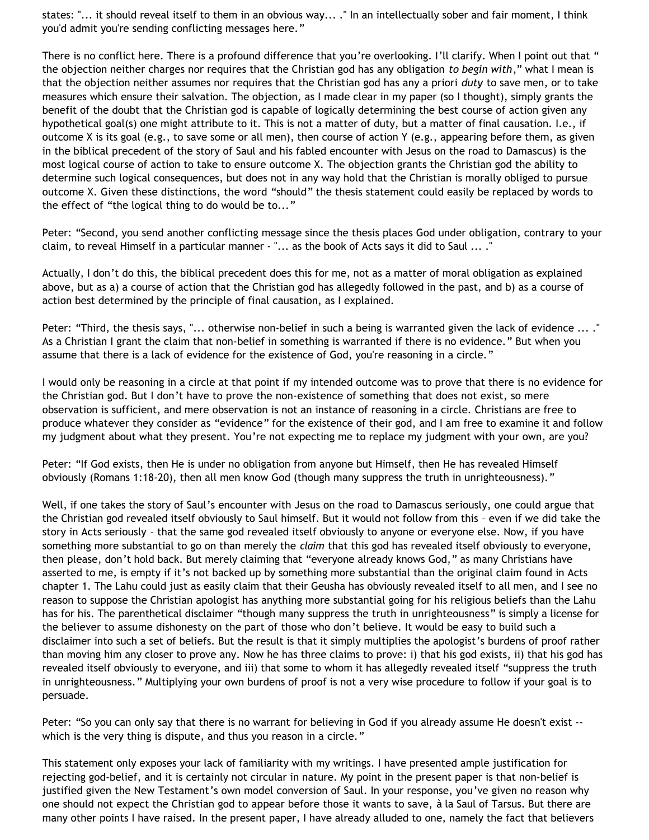states: "... it should reveal itself to them in an obvious way... ." In an intellectually sober and fair moment, I think you'd admit you're sending conflicting messages here."

There is no conflict here. There is a profound difference that you're overlooking. I'll clarify. When I point out that " the objection neither charges nor requires that the Christian god has any obligation *to begin with*," what I mean is that the objection neither assumes nor requires that the Christian god has any a priori *duty* to save men, or to take measures which ensure their salvation. The objection, as I made clear in my paper (so I thought), simply grants the benefit of the doubt that the Christian god is capable of logically determining the best course of action given any hypothetical goal(s) one might attribute to it. This is not a matter of duty, but a matter of final causation. I.e., if outcome X is its goal (e.g., to save some or all men), then course of action Y (e.g., appearing before them, as given in the biblical precedent of the story of Saul and his fabled encounter with Jesus on the road to Damascus) is the most logical course of action to take to ensure outcome X. The objection grants the Christian god the ability to determine such logical consequences, but does not in any way hold that the Christian is morally obliged to pursue outcome X. Given these distinctions, the word "should" the thesis statement could easily be replaced by words to the effect of "the logical thing to do would be to..."

Peter: "Second, you send another conflicting message since the thesis places God under obligation, contrary to your claim, to reveal Himself in a particular manner - "... as the book of Acts says it did to Saul ... ."

Actually, I don't do this, the biblical precedent does this for me, not as a matter of moral obligation as explained above, but as a) a course of action that the Christian god has allegedly followed in the past, and b) as a course of action best determined by the principle of final causation, as I explained.

Peter: "Third, the thesis says, "... otherwise non-belief in such a being is warranted given the lack of evidence ... ." As a Christian I grant the claim that non-belief in something is warranted if there is no evidence." But when you assume that there is a lack of evidence for the existence of God, you're reasoning in a circle."

I would only be reasoning in a circle at that point if my intended outcome was to prove that there is no evidence for the Christian god. But I don't have to prove the non-existence of something that does not exist, so mere observation is sufficient, and mere observation is not an instance of reasoning in a circle. Christians are free to produce whatever they consider as "evidence" for the existence of their god, and I am free to examine it and follow my judgment about what they present. You're not expecting me to replace my judgment with your own, are you?

Peter: "If God exists, then He is under no obligation from anyone but Himself, then He has revealed Himself obviously (Romans 1:18-20), then all men know God (though many suppress the truth in unrighteousness)."

Well, if one takes the story of Saul's encounter with Jesus on the road to Damascus seriously, one could argue that the Christian god revealed itself obviously to Saul himself. But it would not follow from this – even if we did take the story in Acts seriously – that the same god revealed itself obviously to anyone or everyone else. Now, if you have something more substantial to go on than merely the *claim* that this god has revealed itself obviously to everyone, then please, don't hold back. But merely claiming that "everyone already knows God," as many Christians have asserted to me, is empty if it's not backed up by something more substantial than the original claim found in Acts chapter 1. The Lahu could just as easily claim that their Geusha has obviously revealed itself to all men, and I see no reason to suppose the Christian apologist has anything more substantial going for his religious beliefs than the Lahu has for his. The parenthetical disclaimer "though many suppress the truth in unrighteousness" is simply a license for the believer to assume dishonesty on the part of those who don't believe. It would be easy to build such a disclaimer into such a set of beliefs. But the result is that it simply multiplies the apologist's burdens of proof rather than moving him any closer to prove any. Now he has three claims to prove: i) that his god exists, ii) that his god has revealed itself obviously to everyone, and iii) that some to whom it has allegedly revealed itself "suppress the truth in unrighteousness." Multiplying your own burdens of proof is not a very wise procedure to follow if your goal is to persuade.

Peter: "So you can only say that there is no warrant for believing in God if you already assume He doesn't exist -which is the very thing is dispute, and thus you reason in a circle."

This statement only exposes your lack of familiarity with my writings. I have presented ample justification for rejecting god-belief, and it is certainly not circular in nature. My point in the present paper is that non-belief is justified given the New Testament's own model conversion of Saul. In your response, you've given no reason why one should not expect the Christian god to appear before those it wants to save, à la Saul of Tarsus. But there are many other points I have raised. In the present paper, I have already alluded to one, namely the fact that believers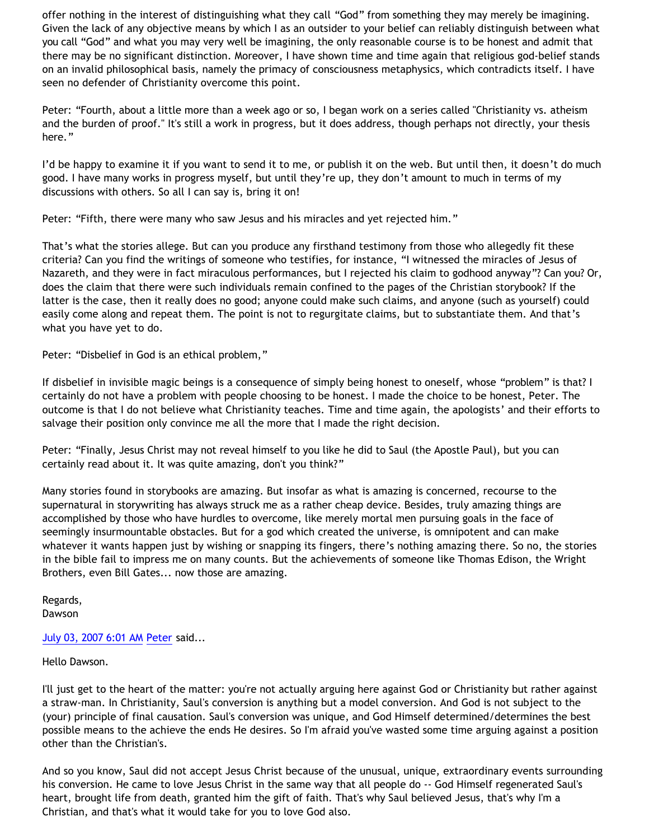offer nothing in the interest of distinguishing what they call "God" from something they may merely be imagining. Given the lack of any objective means by which I as an outsider to your belief can reliably distinguish between what you call "God" and what you may very well be imagining, the only reasonable course is to be honest and admit that there may be no significant distinction. Moreover, I have shown time and time again that religious god-belief stands on an invalid philosophical basis, namely the primacy of consciousness metaphysics, which contradicts itself. I have seen no defender of Christianity overcome this point.

Peter: "Fourth, about a little more than a week ago or so, I began work on a series called "Christianity vs. atheism and the burden of proof." It's still a work in progress, but it does address, though perhaps not directly, your thesis here."

I'd be happy to examine it if you want to send it to me, or publish it on the web. But until then, it doesn't do much good. I have many works in progress myself, but until they're up, they don't amount to much in terms of my discussions with others. So all I can say is, bring it on!

Peter: "Fifth, there were many who saw Jesus and his miracles and yet rejected him."

That's what the stories allege. But can you produce any firsthand testimony from those who allegedly fit these criteria? Can you find the writings of someone who testifies, for instance, "I witnessed the miracles of Jesus of Nazareth, and they were in fact miraculous performances, but I rejected his claim to godhood anyway"? Can you? Or, does the claim that there were such individuals remain confined to the pages of the Christian storybook? If the latter is the case, then it really does no good; anyone could make such claims, and anyone (such as yourself) could easily come along and repeat them. The point is not to regurgitate claims, but to substantiate them. And that's what you have yet to do.

Peter: "Disbelief in God is an ethical problem,"

If disbelief in invisible magic beings is a consequence of simply being honest to oneself, whose "problem" is that? I certainly do not have a problem with people choosing to be honest. I made the choice to be honest, Peter. The outcome is that I do not believe what Christianity teaches. Time and time again, the apologists' and their efforts to salvage their position only convince me all the more that I made the right decision.

Peter: "Finally, Jesus Christ may not reveal himself to you like he did to Saul (the Apostle Paul), but you can certainly read about it. It was quite amazing, don't you think?"

Many stories found in storybooks are amazing. But insofar as what is amazing is concerned, recourse to the supernatural in storywriting has always struck me as a rather cheap device. Besides, truly amazing things are accomplished by those who have hurdles to overcome, like merely mortal men pursuing goals in the face of seemingly insurmountable obstacles. But for a god which created the universe, is omnipotent and can make whatever it wants happen just by wishing or snapping its fingers, there's nothing amazing there. So no, the stories in the bible fail to impress me on many counts. But the achievements of someone like Thomas Edison, the Wright Brothers, even Bill Gates... now those are amazing.

Regards, Dawson

# [July 03, 2007 6:01 AM](http://bahnsenburner.blogspot.com/2007/06/8990139246377598669) [Peter](http://www.blogger.com/profile/03410277894552158218) said...

Hello Dawson.

I'll just get to the heart of the matter: you're not actually arguing here against God or Christianity but rather against a straw-man. In Christianity, Saul's conversion is anything but a model conversion. And God is not subject to the (your) principle of final causation. Saul's conversion was unique, and God Himself determined/determines the best possible means to the achieve the ends He desires. So I'm afraid you've wasted some time arguing against a position other than the Christian's.

And so you know, Saul did not accept Jesus Christ because of the unusual, unique, extraordinary events surrounding his conversion. He came to love Jesus Christ in the same way that all people do -- God Himself regenerated Saul's heart, brought life from death, granted him the gift of faith. That's why Saul believed Jesus, that's why I'm a Christian, and that's what it would take for you to love God also.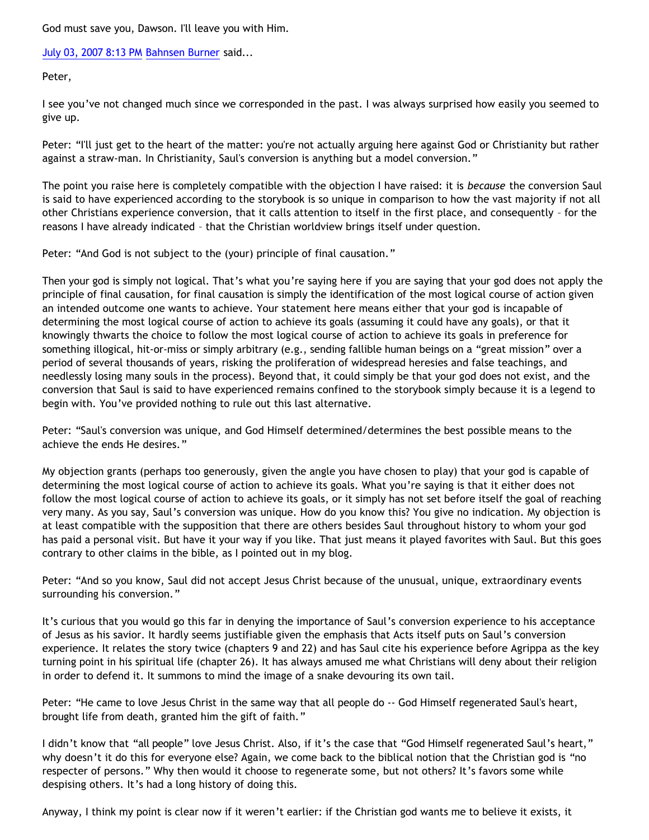God must save you, Dawson. I'll leave you with Him.

[July 03, 2007 8:13 PM](http://bahnsenburner.blogspot.com/2007/06/6570516859581813530) [Bahnsen Burner](http://www.blogger.com/profile/11030029491768748360) said...

Peter,

I see you've not changed much since we corresponded in the past. I was always surprised how easily you seemed to give up.

Peter: "I'll just get to the heart of the matter: you're not actually arguing here against God or Christianity but rather against a straw-man. In Christianity, Saul's conversion is anything but a model conversion."

The point you raise here is completely compatible with the objection I have raised: it is *because* the conversion Saul is said to have experienced according to the storybook is so unique in comparison to how the vast majority if not all other Christians experience conversion, that it calls attention to itself in the first place, and consequently – for the reasons I have already indicated – that the Christian worldview brings itself under question.

Peter: "And God is not subject to the (your) principle of final causation."

Then your god is simply not logical. That's what you're saying here if you are saying that your god does not apply the principle of final causation, for final causation is simply the identification of the most logical course of action given an intended outcome one wants to achieve. Your statement here means either that your god is incapable of determining the most logical course of action to achieve its goals (assuming it could have any goals), or that it knowingly thwarts the choice to follow the most logical course of action to achieve its goals in preference for something illogical, hit-or-miss or simply arbitrary (e.g., sending fallible human beings on a "great mission" over a period of several thousands of years, risking the proliferation of widespread heresies and false teachings, and needlessly losing many souls in the process). Beyond that, it could simply be that your god does not exist, and the conversion that Saul is said to have experienced remains confined to the storybook simply because it is a legend to begin with. You've provided nothing to rule out this last alternative.

Peter: "Saul's conversion was unique, and God Himself determined/determines the best possible means to the achieve the ends He desires."

My objection grants (perhaps too generously, given the angle you have chosen to play) that your god is capable of determining the most logical course of action to achieve its goals. What you're saying is that it either does not follow the most logical course of action to achieve its goals, or it simply has not set before itself the goal of reaching very many. As you say, Saul's conversion was unique. How do you know this? You give no indication. My objection is at least compatible with the supposition that there are others besides Saul throughout history to whom your god has paid a personal visit. But have it your way if you like. That just means it played favorites with Saul. But this goes contrary to other claims in the bible, as I pointed out in my blog.

Peter: "And so you know, Saul did not accept Jesus Christ because of the unusual, unique, extraordinary events surrounding his conversion."

It's curious that you would go this far in denying the importance of Saul's conversion experience to his acceptance of Jesus as his savior. It hardly seems justifiable given the emphasis that Acts itself puts on Saul's conversion experience. It relates the story twice (chapters 9 and 22) and has Saul cite his experience before Agrippa as the key turning point in his spiritual life (chapter 26). It has always amused me what Christians will deny about their religion in order to defend it. It summons to mind the image of a snake devouring its own tail.

Peter: "He came to love Jesus Christ in the same way that all people do -- God Himself regenerated Saul's heart, brought life from death, granted him the gift of faith."

I didn't know that "all people" love Jesus Christ. Also, if it's the case that "God Himself regenerated Saul's heart," why doesn't it do this for everyone else? Again, we come back to the biblical notion that the Christian god is "no respecter of persons." Why then would it choose to regenerate some, but not others? It's favors some while despising others. It's had a long history of doing this.

Anyway, I think my point is clear now if it weren't earlier: if the Christian god wants me to believe it exists, it